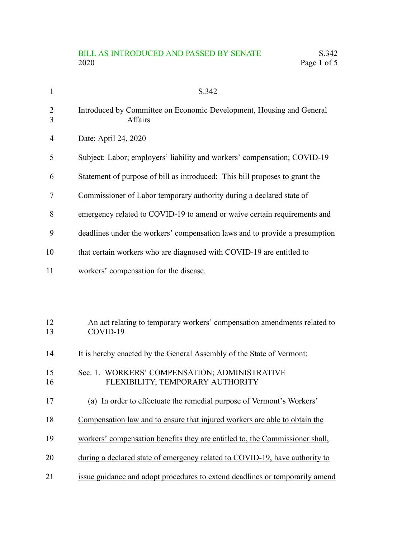## BILL AS INTRODUCED AND PASSED BY SENATE S.342<br>2020 Page 1 of 5 Page 1 of 5

| $\mathbf{1}$        | S.342                                                                                  |
|---------------------|----------------------------------------------------------------------------------------|
| $\overline{2}$<br>3 | Introduced by Committee on Economic Development, Housing and General<br><b>Affairs</b> |
| 4                   | Date: April 24, 2020                                                                   |
| 5                   | Subject: Labor; employers' liability and workers' compensation; COVID-19               |
| 6                   | Statement of purpose of bill as introduced: This bill proposes to grant the            |
| 7                   | Commissioner of Labor temporary authority during a declared state of                   |
| 8                   | emergency related to COVID-19 to amend or waive certain requirements and               |
| 9                   | deadlines under the workers' compensation laws and to provide a presumption            |
| 10                  | that certain workers who are diagnosed with COVID-19 are entitled to                   |
| 11                  | workers' compensation for the disease.                                                 |
|                     |                                                                                        |
| 12<br>13            | An act relating to temporary workers' compensation amendments related to<br>COVID-19   |
| 14                  | It is hereby enacted by the General Assembly of the State of Vermont:                  |
| 15<br>16            | Sec. 1. WORKERS' COMPENSATION; ADMINISTRATIVE<br>FLEXIBILITY; TEMPORARY AUTHORITY      |
| 17                  | (a) In order to effectuate the remedial purpose of Vermont's Workers'                  |
| 18                  | Compensation law and to ensure that injured workers are able to obtain the             |
| 19                  | workers' compensation benefits they are entitled to, the Commissioner shall,           |
| 20                  | during a declared state of emergency related to COVID-19, have authority to            |
| 21                  | issue guidance and adopt procedures to extend deadlines or temporarily amend           |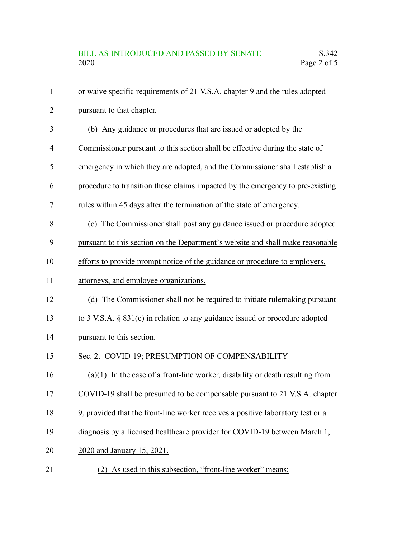| $\mathbf{1}$   | or waive specific requirements of 21 V.S.A. chapter 9 and the rules adopted         |
|----------------|-------------------------------------------------------------------------------------|
| $\overline{2}$ | pursuant to that chapter.                                                           |
| 3              | (b) Any guidance or procedures that are issued or adopted by the                    |
| 4              | Commissioner pursuant to this section shall be effective during the state of        |
| 5              | emergency in which they are adopted, and the Commissioner shall establish a         |
| 6              | procedure to transition those claims impacted by the emergency to pre-existing      |
| 7              | rules within 45 days after the termination of the state of emergency.               |
| 8              | (c) The Commissioner shall post any guidance issued or procedure adopted            |
| 9              | pursuant to this section on the Department's website and shall make reasonable      |
| 10             | efforts to provide prompt notice of the guidance or procedure to employers,         |
| 11             | attorneys, and employee organizations.                                              |
| 12             | The Commissioner shall not be required to initiate rulemaking pursuant<br>(d)       |
| 13             | to $3$ V.S.A. $\S$ $831(c)$ in relation to any guidance issued or procedure adopted |
| 14             | pursuant to this section.                                                           |
| 15             | Sec. 2. COVID-19; PRESUMPTION OF COMPENSABILITY                                     |
| 16             | $(a)(1)$ In the case of a front-line worker, disability or death resulting from     |
| 17             | COVID-19 shall be presumed to be compensable pursuant to 21 V.S.A. chapter          |
| 18             | 9, provided that the front-line worker receives a positive laboratory test or a     |
| 19             | diagnosis by a licensed healthcare provider for COVID-19 between March 1,           |
| 20             | 2020 and January 15, 2021.                                                          |
| 21             | (2) As used in this subsection, "front-line worker" means:                          |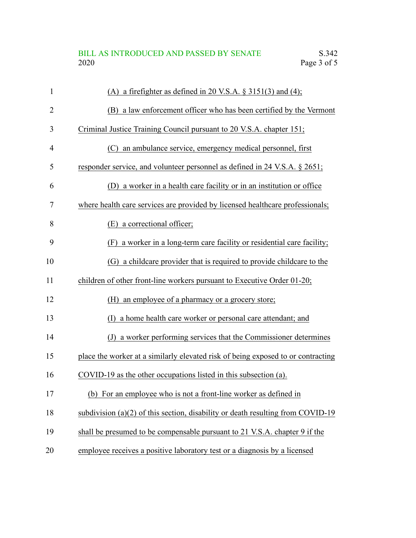## BILL AS INTRODUCED AND PASSED BY SENATE S.342<br>2020 Page 3 of 5 Page 3 of 5

| $\mathbf{1}$ | (A) a firefighter as defined in 20 V.S.A. $\S 3151(3)$ and (4);                   |
|--------------|-----------------------------------------------------------------------------------|
| 2            | (B) a law enforcement officer who has been certified by the Vermont               |
| 3            | Criminal Justice Training Council pursuant to 20 V.S.A. chapter 151;              |
| 4            | (C) an ambulance service, emergency medical personnel, first                      |
| 5            | responder service, and volunteer personnel as defined in 24 V.S.A. § 2651;        |
| 6            | (D) a worker in a health care facility or in an institution or office             |
| 7            | where health care services are provided by licensed healthcare professionals;     |
| 8            | a correctional officer;<br>(E)                                                    |
| 9            | (F) a worker in a long-term care facility or residential care facility;           |
| 10           | (G) a childcare provider that is required to provide childcare to the             |
| 11           | children of other front-line workers pursuant to Executive Order 01-20;           |
| 12           | an employee of a pharmacy or a grocery store;<br>(H)                              |
| 13           | a home health care worker or personal care attendant; and<br>(I)                  |
| 14           | (J) a worker performing services that the Commissioner determines                 |
| 15           | place the worker at a similarly elevated risk of being exposed to or contracting  |
| 16           | COVID-19 as the other occupations listed in this subsection (a).                  |
| 17           | (b) For an employee who is not a front-line worker as defined in                  |
| 18           | subdivision $(a)(2)$ of this section, disability or death resulting from COVID-19 |
| 19           | shall be presumed to be compensable pursuant to 21 V.S.A. chapter 9 if the        |
| 20           | employee receives a positive laboratory test or a diagnosis by a licensed         |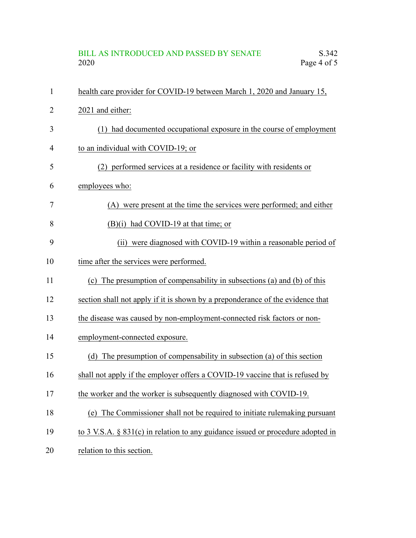## BILL AS INTRODUCED AND PASSED BY SENATE S.342<br>2020 Page 4 of 5 Page 4 of 5

| $\mathbf{1}$ | health care provider for COVID-19 between March 1, 2020 and January 15,         |
|--------------|---------------------------------------------------------------------------------|
| 2            | 2021 and either:                                                                |
| 3            | (1) had documented occupational exposure in the course of employment            |
| 4            | to an individual with COVID-19; or                                              |
| 5            | (2) performed services at a residence or facility with residents or             |
| 6            | employees who:                                                                  |
| 7            | (A) were present at the time the services were performed; and either            |
| 8            | $(B)(i)$ had COVID-19 at that time; or                                          |
| 9            | (ii) were diagnosed with COVID-19 within a reasonable period of                 |
| 10           | time after the services were performed.                                         |
| 11           | The presumption of compensability in subsections (a) and (b) of this<br>(c)     |
| 12           | section shall not apply if it is shown by a preponderance of the evidence that  |
| 13           | the disease was caused by non-employment-connected risk factors or non-         |
| 14           | employment-connected exposure.                                                  |
| 15           | (d) The presumption of compensability in subsection (a) of this section         |
| 16           | shall not apply if the employer offers a COVID-19 vaccine that is refused by    |
| 17           | the worker and the worker is subsequently diagnosed with COVID-19.              |
| 18           | (e) The Commissioner shall not be required to initiate rulemaking pursuant      |
| 19           | to 3 V.S.A. § 831(c) in relation to any guidance issued or procedure adopted in |
| 20           | relation to this section.                                                       |